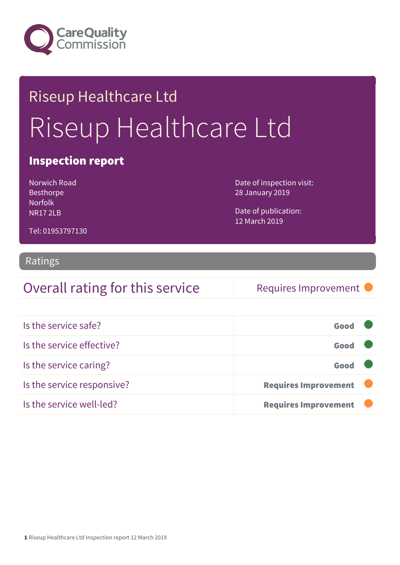

# Riseup Healthcare Ltd Riseup Healthcare Ltd

### Inspection report

Norwich Road Besthorpe Norfolk NR17 2LB

Date of inspection visit: 28 January 2019

Date of publication: 12 March 2019

Tel: 01953797130

#### Ratings

### Overall rating for this service Requires Improvement

| Is the service safe?       | Good                        |
|----------------------------|-----------------------------|
| Is the service effective?  | Good                        |
| Is the service caring?     | Good                        |
| Is the service responsive? | <b>Requires Improvement</b> |
| Is the service well-led?   | <b>Requires Improvement</b> |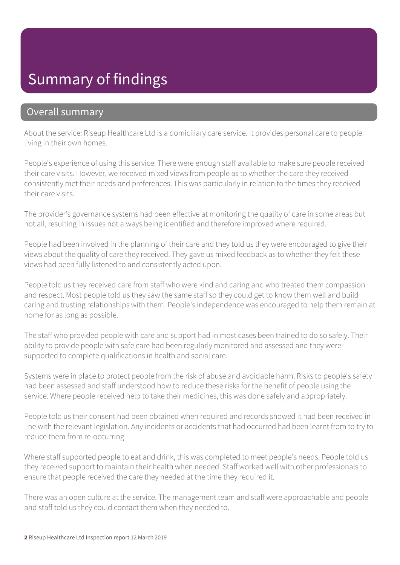### Summary of findings

### Overall summary

About the service: Riseup Healthcare Ltd is a domiciliary care service. It provides personal care to people living in their own homes.

People's experience of using this service: There were enough staff available to make sure people received their care visits. However, we received mixed views from people as to whether the care they received consistently met their needs and preferences. This was particularly in relation to the times they received their care visits.

The provider's governance systems had been effective at monitoring the quality of care in some areas but not all, resulting in issues not always being identified and therefore improved where required.

People had been involved in the planning of their care and they told us they were encouraged to give their views about the quality of care they received. They gave us mixed feedback as to whether they felt these views had been fully listened to and consistently acted upon.

People told us they received care from staff who were kind and caring and who treated them compassion and respect. Most people told us they saw the same staff so they could get to know them well and build caring and trusting relationships with them. People's independence was encouraged to help them remain at home for as long as possible.

The staff who provided people with care and support had in most cases been trained to do so safely. Their ability to provide people with safe care had been regularly monitored and assessed and they were supported to complete qualifications in health and social care.

Systems were in place to protect people from the risk of abuse and avoidable harm. Risks to people's safety had been assessed and staff understood how to reduce these risks for the benefit of people using the service. Where people received help to take their medicines, this was done safely and appropriately.

People told us their consent had been obtained when required and records showed it had been received in line with the relevant legislation. Any incidents or accidents that had occurred had been learnt from to try to reduce them from re-occurring.

Where staff supported people to eat and drink, this was completed to meet people's needs. People told us they received support to maintain their health when needed. Staff worked well with other professionals to ensure that people received the care they needed at the time they required it.

There was an open culture at the service. The management team and staff were approachable and people and staff told us they could contact them when they needed to.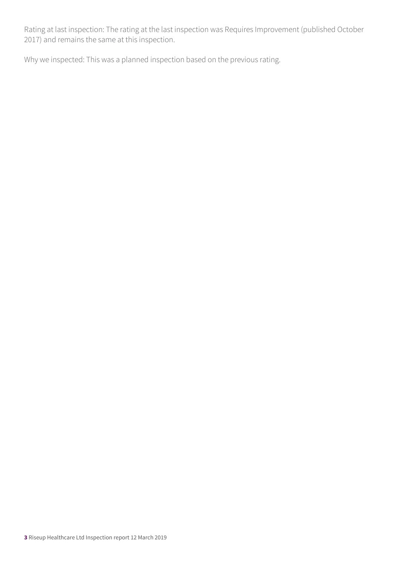Rating at last inspection: The rating at the last inspection was Requires Improvement (published October 2017) and remains the same at this inspection.

Why we inspected: This was a planned inspection based on the previous rating.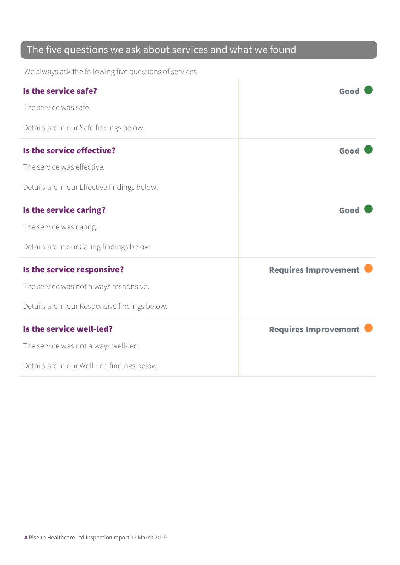### The five questions we ask about services and what we found

We always ask the following five questions of services.

| Is the service safe?                          | Good                        |
|-----------------------------------------------|-----------------------------|
| The service was safe.                         |                             |
| Details are in our Safe findings below.       |                             |
| Is the service effective?                     | Good                        |
| The service was effective.                    |                             |
| Details are in our Effective findings below.  |                             |
| Is the service caring?                        | Good                        |
| The service was caring.                       |                             |
| Details are in our Caring findings below.     |                             |
| Is the service responsive?                    | <b>Requires Improvement</b> |
| The service was not always responsive.        |                             |
| Details are in our Responsive findings below. |                             |
| Is the service well-led?                      | <b>Requires Improvement</b> |
| The service was not always well-led.          |                             |
| Details are in our Well-Led findings below.   |                             |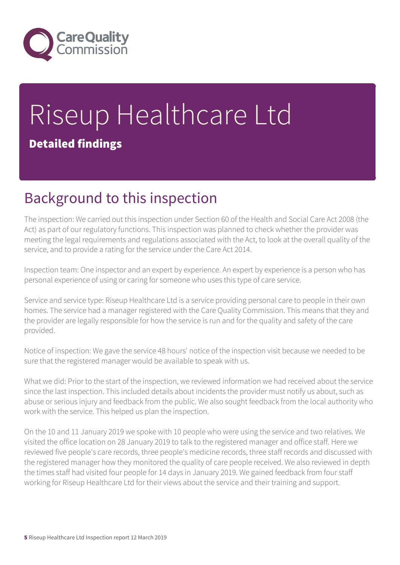

# Riseup Healthcare Ltd Detailed findings

### Background to this inspection

The inspection: We carried out this inspection under Section 60 of the Health and Social Care Act 2008 (the Act) as part of our regulatory functions. This inspection was planned to check whether the provider was meeting the legal requirements and regulations associated with the Act, to look at the overall quality of the service, and to provide a rating for the service under the Care Act 2014.

Inspection team: One inspector and an expert by experience. An expert by experience is a person who has personal experience of using or caring for someone who uses this type of care service.

Service and service type: Riseup Healthcare Ltd is a service providing personal care to people in their own homes. The service had a manager registered with the Care Quality Commission. This means that they and the provider are legally responsible for how the service is run and for the quality and safety of the care provided.

Notice of inspection: We gave the service 48 hours' notice of the inspection visit because we needed to be sure that the registered manager would be available to speak with us.

What we did: Prior to the start of the inspection, we reviewed information we had received about the service since the last inspection. This included details about incidents the provider must notify us about, such as abuse or serious injury and feedback from the public. We also sought feedback from the local authority who work with the service. This helped us plan the inspection.

On the 10 and 11 January 2019 we spoke with 10 people who were using the service and two relatives. We visited the office location on 28 January 2019 to talk to the registered manager and office staff. Here we reviewed five people's care records, three people's medicine records, three staff records and discussed with the registered manager how they monitored the quality of care people received. We also reviewed in depth the times staff had visited four people for 14 days in January 2019. We gained feedback from four staff working for Riseup Healthcare Ltd for their views about the service and their training and support.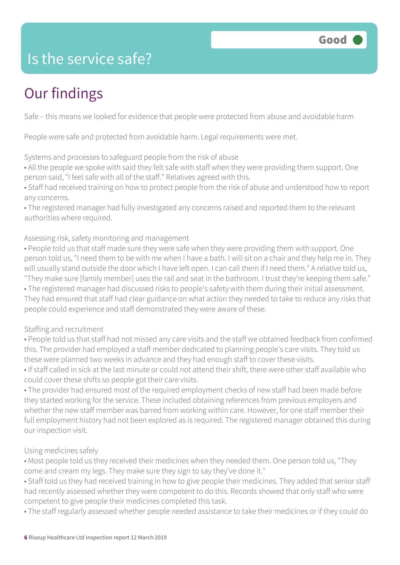### Is the service safe?

# Our findings

Safe – this means we looked for evidence that people were protected from abuse and avoidable harm

People were safe and protected from avoidable harm. Legal requirements were met.

Systems and processes to safeguard people from the risk of abuse

• All the people we spoke with said they felt safe with staff when they were providing them support. One person said, "I feel safe with all of the staff." Relatives agreed with this.

• Staff had received training on how to protect people from the risk of abuse and understood how to report any concerns.

• The registered manager had fully investigated any concerns raised and reported them to the relevant authorities where required.

#### Assessing risk, safety monitoring and management

• People told us that staff made sure they were safe when they were providing them with support. One person told us, "I need them to be with me when I have a bath. I will sit on a chair and they help me in. They will usually stand outside the door which I have left open. I can call them if I need them." A relative told us, "They make sure [family member] uses the rail and seat in the bathroom. I trust they're keeping them safe."

• The registered manager had discussed risks to people's safety with them during their initial assessment. They had ensured that staff had clear guidance on what action they needed to take to reduce any risks that people could experience and staff demonstrated they were aware of these.

#### Staffing and recruitment

- People told us that staff had not missed any care visits and the staff we obtained feedback from confirmed this. The provider had employed a staff member dedicated to planning people's care visits. They told us these were planned two weeks in advance and they had enough staff to cover these visits.
- If staff called in sick at the last minute or could not attend their shift, there were other staff available who could cover these shifts so people got their care visits.

• The provider had ensured most of the required employment checks of new staff had been made before they started working for the service. These included obtaining references from previous employers and whether the new staff member was barred from working within care. However, for one staff member their full employment history had not been explored as is required. The registered manager obtained this during our inspection visit.

#### Using medicines safely

• Most people told us they received their medicines when they needed them. One person told us, "They come and cream my legs. They make sure they sign to say they've done it."

• Staff told us they had received training in how to give people their medicines. They added that senior staff had recently assessed whether they were competent to do this. Records showed that only staff who were competent to give people their medicines completed this task.

• The staff regularly assessed whether people needed assistance to take their medicines or if they could do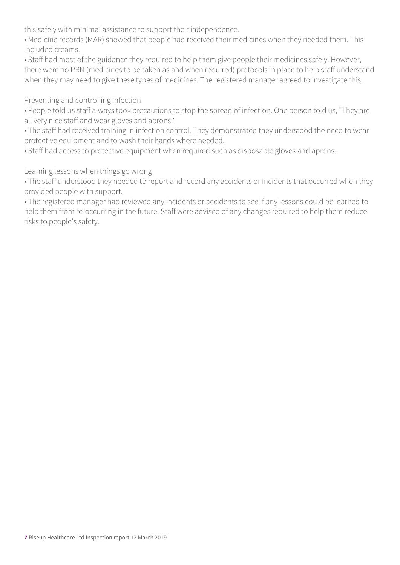this safely with minimal assistance to support their independence.

• Medicine records (MAR) showed that people had received their medicines when they needed them. This included creams.

• Staff had most of the guidance they required to help them give people their medicines safely. However, there were no PRN (medicines to be taken as and when required) protocols in place to help staff understand when they may need to give these types of medicines. The registered manager agreed to investigate this.

Preventing and controlling infection

• People told us staff always took precautions to stop the spread of infection. One person told us, "They are all very nice staff and wear gloves and aprons."

• The staff had received training in infection control. They demonstrated they understood the need to wear protective equipment and to wash their hands where needed.

• Staff had access to protective equipment when required such as disposable gloves and aprons.

Learning lessons when things go wrong

• The staff understood they needed to report and record any accidents or incidents that occurred when they provided people with support.

• The registered manager had reviewed any incidents or accidents to see if any lessons could be learned to help them from re-occurring in the future. Staff were advised of any changes required to help them reduce risks to people's safety.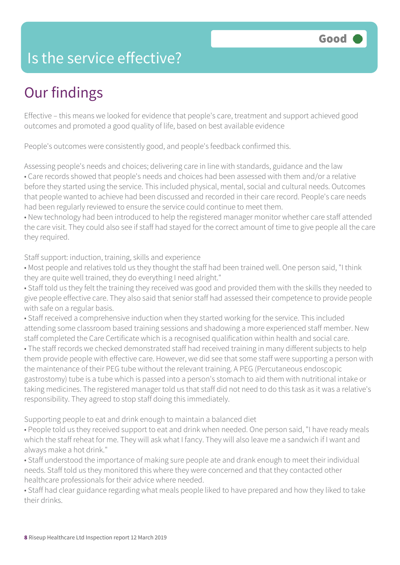### Is the service effective?

## Our findings

Effective – this means we looked for evidence that people's care, treatment and support achieved good outcomes and promoted a good quality of life, based on best available evidence

People's outcomes were consistently good, and people's feedback confirmed this.

Assessing people's needs and choices; delivering care in line with standards, guidance and the law • Care records showed that people's needs and choices had been assessed with them and/or a relative before they started using the service. This included physical, mental, social and cultural needs. Outcomes that people wanted to achieve had been discussed and recorded in their care record. People's care needs had been regularly reviewed to ensure the service could continue to meet them.

• New technology had been introduced to help the registered manager monitor whether care staff attended the care visit. They could also see if staff had stayed for the correct amount of time to give people all the care they required.

Staff support: induction, training, skills and experience

• Most people and relatives told us they thought the staff had been trained well. One person said, "I think they are quite well trained, they do everything I need alright."

• Staff told us they felt the training they received was good and provided them with the skills they needed to give people effective care. They also said that senior staff had assessed their competence to provide people with safe on a regular basis.

• Staff received a comprehensive induction when they started working for the service. This included attending some classroom based training sessions and shadowing a more experienced staff member. New staff completed the Care Certificate which is a recognised qualification within health and social care.

• The staff records we checked demonstrated staff had received training in many different subjects to help them provide people with effective care. However, we did see that some staff were supporting a person with the maintenance of their PEG tube without the relevant training. A PEG (Percutaneous endoscopic gastrostomy) tube is a tube which is passed into a person's stomach to aid them with nutritional intake or taking medicines. The registered manager told us that staff did not need to do this task as it was a relative's responsibility. They agreed to stop staff doing this immediately.

Supporting people to eat and drink enough to maintain a balanced diet

• People told us they received support to eat and drink when needed. One person said, "I have ready meals which the staff reheat for me. They will ask what I fancy. They will also leave me a sandwich if I want and always make a hot drink."

• Staff understood the importance of making sure people ate and drank enough to meet their individual needs. Staff told us they monitored this where they were concerned and that they contacted other healthcare professionals for their advice where needed.

• Staff had clear guidance regarding what meals people liked to have prepared and how they liked to take their drinks.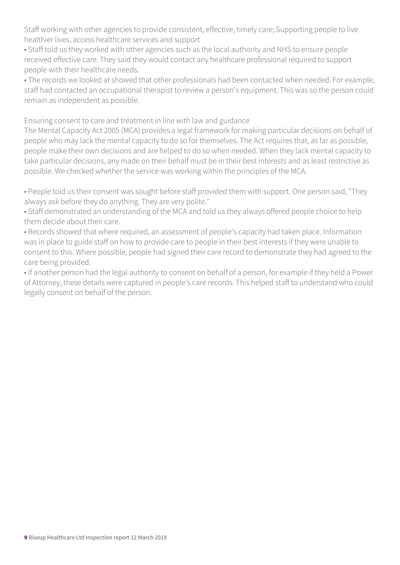Staff working with other agencies to provide consistent, effective, timely care; Supporting people to live healthier lives, access healthcare services and support

• Staff told us they worked with other agencies such as the local authority and NHS to ensure people received effective care. They said they would contact any healthcare professional required to support people with their healthcare needs.

• The records we looked at showed that other professionals had been contacted when needed. For example, staff had contacted an occupational therapist to review a person's equipment. This was so the person could remain as independent as possible.

Ensuring consent to care and treatment in line with law and guidance

The Mental Capacity Act 2005 (MCA) provides a legal framework for making particular decisions on behalf of people who may lack the mental capacity to do so for themselves. The Act requires that, as far as possible, people make their own decisions and are helped to do so when needed. When they lack mental capacity to take particular decisions, any made on their behalf must be in their best interests and as least restrictive as possible. We checked whether the service was working within the principles of the MCA.

• People told us their consent was sought before staff provided them with support. One person said, "They always ask before they do anything. They are very polite."

• Staff demonstrated an understanding of the MCA and told us they always offered people choice to help them decide about their care.

• Records showed that where required, an assessment of people's capacity had taken place. Information was in place to guide staff on how to provide care to people in their best interests if they were unable to consent to this. Where possible, people had signed their care record to demonstrate they had agreed to the care being provided.

• If another person had the legal authority to consent on behalf of a person, for example if they held a Power of Attorney, these details were captured in people's care records. This helped staff to understand who could legally consent on behalf of the person.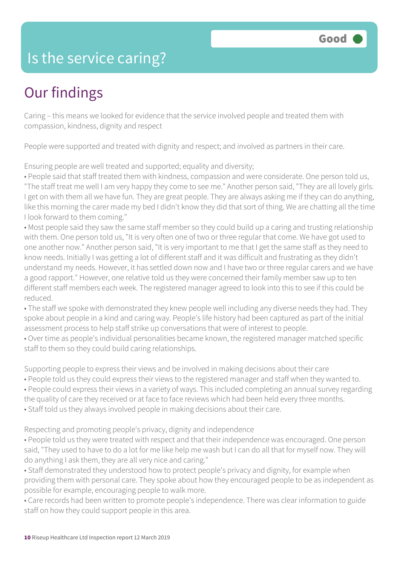### Is the service caring?

### Our findings

Caring – this means we looked for evidence that the service involved people and treated them with compassion, kindness, dignity and respect

People were supported and treated with dignity and respect; and involved as partners in their care.

Ensuring people are well treated and supported; equality and diversity;

• People said that staff treated them with kindness, compassion and were considerate. One person told us, "The staff treat me well I am very happy they come to see me." Another person said, "They are all lovely girls. I get on with them all we have fun. They are great people. They are always asking me if they can do anything, like this morning the carer made my bed I didn't know they did that sort of thing. We are chatting all the time I look forward to them coming."

• Most people said they saw the same staff member so they could build up a caring and trusting relationship with them. One person told us, "It is very often one of two or three regular that come. We have got used to one another now." Another person said, "It is very important to me that I get the same staff as they need to know needs. Initially I was getting a lot of different staff and it was difficult and frustrating as they didn't understand my needs. However, it has settled down now and I have two or three regular carers and we have a good rapport." However, one relative told us they were concerned their family member saw up to ten different staff members each week. The registered manager agreed to look into this to see if this could be reduced.

• The staff we spoke with demonstrated they knew people well including any diverse needs they had. They spoke about people in a kind and caring way. People's life history had been captured as part of the initial assessment process to help staff strike up conversations that were of interest to people.

• Over time as people's individual personalities became known, the registered manager matched specific staff to them so they could build caring relationships.

Supporting people to express their views and be involved in making decisions about their care

- People told us they could express their views to the registered manager and staff when they wanted to.
- People could express their views in a variety of ways. This included completing an annual survey regarding
- the quality of care they received or at face to face reviews which had been held every three months.
- Staff told us they always involved people in making decisions about their care.

Respecting and promoting people's privacy, dignity and independence

• People told us they were treated with respect and that their independence was encouraged. One person said, "They used to have to do a lot for me like help me wash but I can do all that for myself now. They will do anything I ask them, they are all very nice and caring."

• Staff demonstrated they understood how to protect people's privacy and dignity, for example when providing them with personal care. They spoke about how they encouraged people to be as independent as possible for example, encouraging people to walk more.

• Care records had been written to promote people's independence. There was clear information to guide staff on how they could support people in this area.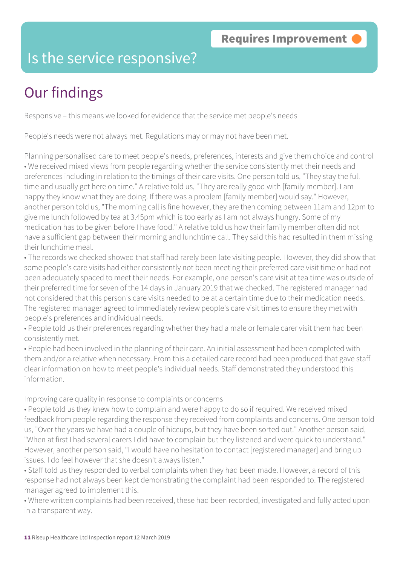### Is the service responsive?

# Our findings

Responsive – this means we looked for evidence that the service met people's needs

People's needs were not always met. Regulations may or may not have been met.

Planning personalised care to meet people's needs, preferences, interests and give them choice and control • We received mixed views from people regarding whether the service consistently met their needs and preferences including in relation to the timings of their care visits. One person told us, "They stay the full time and usually get here on time." A relative told us, "They are really good with [family member]. I am happy they know what they are doing. If there was a problem [family member] would say." However, another person told us, "The morning call is fine however, they are then coming between 11am and 12pm to give me lunch followed by tea at 3.45pm which is too early as I am not always hungry. Some of my medication has to be given before I have food." A relative told us how their family member often did not have a sufficient gap between their morning and lunchtime call. They said this had resulted in them missing their lunchtime meal.

• The records we checked showed that staff had rarely been late visiting people. However, they did show that some people's care visits had either consistently not been meeting their preferred care visit time or had not been adequately spaced to meet their needs. For example, one person's care visit at tea time was outside of their preferred time for seven of the 14 days in January 2019 that we checked. The registered manager had not considered that this person's care visits needed to be at a certain time due to their medication needs. The registered manager agreed to immediately review people's care visit times to ensure they met with people's preferences and individual needs.

• People told us their preferences regarding whether they had a male or female carer visit them had been consistently met.

• People had been involved in the planning of their care. An initial assessment had been completed with them and/or a relative when necessary. From this a detailed care record had been produced that gave staff clear information on how to meet people's individual needs. Staff demonstrated they understood this information.

Improving care quality in response to complaints or concerns

• People told us they knew how to complain and were happy to do so if required. We received mixed feedback from people regarding the response they received from complaints and concerns. One person told us, "Over the years we have had a couple of hiccups, but they have been sorted out." Another person said, "When at first I had several carers I did have to complain but they listened and were quick to understand." However, another person said, "I would have no hesitation to contact [registered manager] and bring up issues. I do feel however that she doesn't always listen."

• Staff told us they responded to verbal complaints when they had been made. However, a record of this response had not always been kept demonstrating the complaint had been responded to. The registered manager agreed to implement this.

• Where written complaints had been received, these had been recorded, investigated and fully acted upon in a transparent way.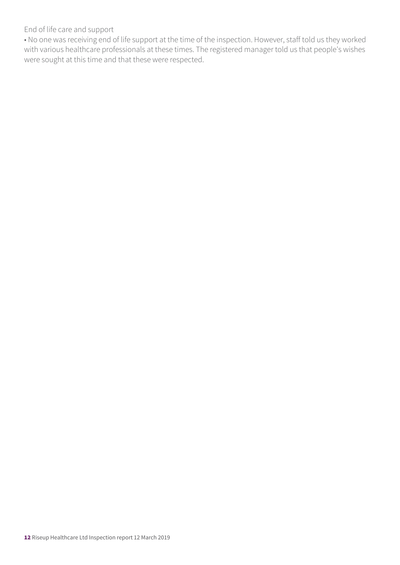End of life care and support

• No one was receiving end of life support at the time of the inspection. However, staff told us they worked with various healthcare professionals at these times. The registered manager told us that people's wishes were sought at this time and that these were respected.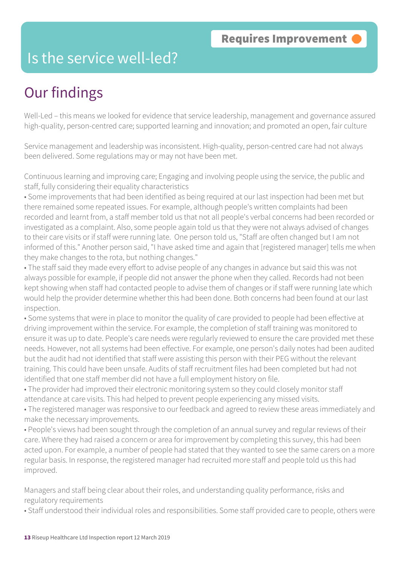### Is the service well-led?

## Our findings

Well-Led – this means we looked for evidence that service leadership, management and governance assured high-quality, person-centred care; supported learning and innovation; and promoted an open, fair culture

Service management and leadership was inconsistent. High-quality, person-centred care had not always been delivered. Some regulations may or may not have been met.

Continuous learning and improving care; Engaging and involving people using the service, the public and staff, fully considering their equality characteristics

• Some improvements that had been identified as being required at our last inspection had been met but there remained some repeated issues. For example, although people's written complaints had been recorded and learnt from, a staff member told us that not all people's verbal concerns had been recorded or investigated as a complaint. Also, some people again told us that they were not always advised of changes to their care visits or if staff were running late. One person told us, "Staff are often changed but I am not informed of this." Another person said, "I have asked time and again that [registered manager] tells me when they make changes to the rota, but nothing changes."

• The staff said they made every effort to advise people of any changes in advance but said this was not always possible for example, if people did not answer the phone when they called. Records had not been kept showing when staff had contacted people to advise them of changes or if staff were running late which would help the provider determine whether this had been done. Both concerns had been found at our last inspection.

• Some systems that were in place to monitor the quality of care provided to people had been effective at driving improvement within the service. For example, the completion of staff training was monitored to ensure it was up to date. People's care needs were regularly reviewed to ensure the care provided met these needs. However, not all systems had been effective. For example, one person's daily notes had been audited but the audit had not identified that staff were assisting this person with their PEG without the relevant training. This could have been unsafe. Audits of staff recruitment files had been completed but had not identified that one staff member did not have a full employment history on file.

• The provider had improved their electronic monitoring system so they could closely monitor staff attendance at care visits. This had helped to prevent people experiencing any missed visits.

• The registered manager was responsive to our feedback and agreed to review these areas immediately and make the necessary improvements.

• People's views had been sought through the completion of an annual survey and regular reviews of their care. Where they had raised a concern or area for improvement by completing this survey, this had been acted upon. For example, a number of people had stated that they wanted to see the same carers on a more regular basis. In response, the registered manager had recruited more staff and people told us this had improved.

Managers and staff being clear about their roles, and understanding quality performance, risks and regulatory requirements

• Staff understood their individual roles and responsibilities. Some staff provided care to people, others were